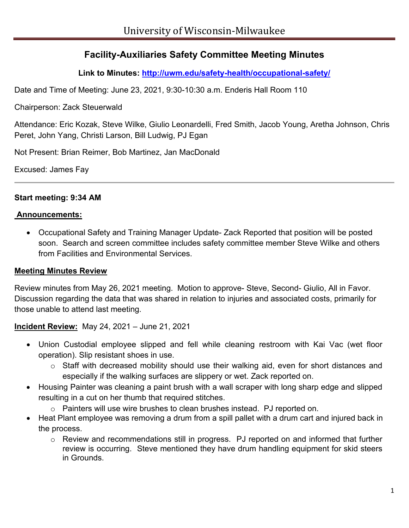# **Facility-Auxiliaries Safety Committee Meeting Minutes**

**Link to Minutes:<http://uwm.edu/safety-health/occupational-safety/>**

Date and Time of Meeting: June 23, 2021, 9:30-10:30 a.m. Enderis Hall Room 110

Chairperson: Zack Steuerwald

Attendance: Eric Kozak, Steve Wilke, Giulio Leonardelli, Fred Smith, Jacob Young, Aretha Johnson, Chris Peret, John Yang, Christi Larson, Bill Ludwig, PJ Egan

Not Present: Brian Reimer, Bob Martinez, Jan MacDonald

Excused: James Fay

#### **Start meeting: 9:34 AM**

#### **Announcements:**

• Occupational Safety and Training Manager Update- Zack Reported that position will be posted soon. Search and screen committee includes safety committee member Steve Wilke and others from Facilities and Environmental Services.

### **Meeting Minutes Review**

Review minutes from May 26, 2021 meeting. Motion to approve- Steve, Second- Giulio, All in Favor. Discussion regarding the data that was shared in relation to injuries and associated costs, primarily for those unable to attend last meeting.

### **Incident Review:** May 24, 2021 – June 21, 2021

- Union Custodial employee slipped and fell while cleaning restroom with Kai Vac (wet floor operation). Slip resistant shoes in use.
	- o Staff with decreased mobility should use their walking aid, even for short distances and especially if the walking surfaces are slippery or wet. Zack reported on.
- Housing Painter was cleaning a paint brush with a wall scraper with long sharp edge and slipped resulting in a cut on her thumb that required stitches.
	- $\circ$  Painters will use wire brushes to clean brushes instead. PJ reported on.
- Heat Plant employee was removing a drum from a spill pallet with a drum cart and injured back in the process.
	- o Review and recommendations still in progress. PJ reported on and informed that further review is occurring. Steve mentioned they have drum handling equipment for skid steers in Grounds.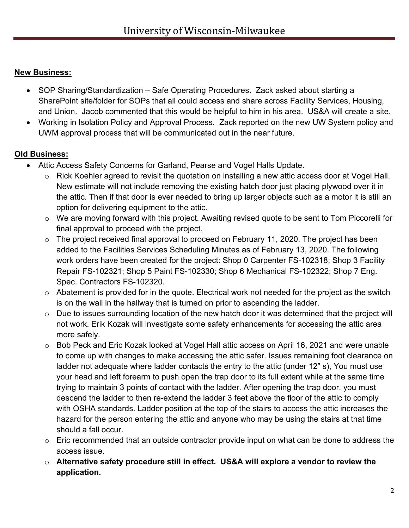## **New Business:**

- SOP Sharing/Standardization Safe Operating Procedures. Zack asked about starting a SharePoint site/folder for SOPs that all could access and share across Facility Services, Housing, and Union. Jacob commented that this would be helpful to him in his area. US&A will create a site.
- Working in Isolation Policy and Approval Process. Zack reported on the new UW System policy and UWM approval process that will be communicated out in the near future.

## **Old Business:**

- Attic Access Safety Concerns for Garland, Pearse and Vogel Halls Update.
	- o Rick Koehler agreed to revisit the quotation on installing a new attic access door at Vogel Hall. New estimate will not include removing the existing hatch door just placing plywood over it in the attic. Then if that door is ever needed to bring up larger objects such as a motor it is still an option for delivering equipment to the attic.
	- o We are moving forward with this project. Awaiting revised quote to be sent to Tom Piccorelli for final approval to proceed with the project.
	- o The project received final approval to proceed on February 11, 2020. The project has been added to the Facilities Services Scheduling Minutes as of February 13, 2020. The following work orders have been created for the project: Shop 0 Carpenter FS-102318; Shop 3 Facility Repair FS-102321; Shop 5 Paint FS-102330; Shop 6 Mechanical FS-102322; Shop 7 Eng. Spec. Contractors FS-102320.
	- $\circ$  Abatement is provided for in the quote. Electrical work not needed for the project as the switch is on the wall in the hallway that is turned on prior to ascending the ladder.
	- o Due to issues surrounding location of the new hatch door it was determined that the project will not work. Erik Kozak will investigate some safety enhancements for accessing the attic area more safely.
	- o Bob Peck and Eric Kozak looked at Vogel Hall attic access on April 16, 2021 and were unable to come up with changes to make accessing the attic safer. Issues remaining foot clearance on ladder not adequate where ladder contacts the entry to the attic (under 12" s), You must use your head and left forearm to push open the trap door to its full extent while at the same time trying to maintain 3 points of contact with the ladder. After opening the trap door, you must descend the ladder to then re-extend the ladder 3 feet above the floor of the attic to comply with OSHA standards. Ladder position at the top of the stairs to access the attic increases the hazard for the person entering the attic and anyone who may be using the stairs at that time should a fall occur.
	- $\circ$  Eric recommended that an outside contractor provide input on what can be done to address the access issue.
	- o **Alternative safety procedure still in effect. US&A will explore a vendor to review the application.**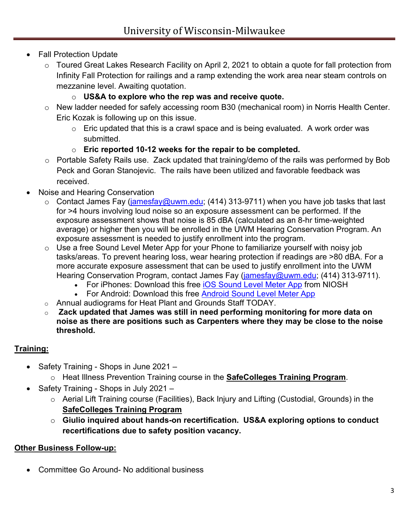- Fall Protection Update
	- o Toured Great Lakes Research Facility on April 2, 2021 to obtain a quote for fall protection from Infinity Fall Protection for railings and a ramp extending the work area near steam controls on mezzanine level. Awaiting quotation.
		- o **US&A to explore who the rep was and receive quote.**
	- o New ladder needed for safely accessing room B30 (mechanical room) in Norris Health Center. Eric Kozak is following up on this issue.
		- $\circ$  Eric updated that this is a crawl space and is being evaluated. A work order was submitted.
		- o **Eric reported 10-12 weeks for the repair to be completed.**
	- o Portable Safety Rails use. Zack updated that training/demo of the rails was performed by Bob Peck and Goran Stanojevic. The rails have been utilized and favorable feedback was received.
- Noise and Hearing Conservation
	- $\circ$  Contact James Fay [\(jamesfay@uwm.edu;](mailto:jamesfay@uwm.edu) (414) 313-9711) when you have job tasks that last for >4 hours involving loud noise so an exposure assessment can be performed. If the exposure assessment shows that noise is 85 dBA (calculated as an 8-hr time-weighted average) or higher then you will be enrolled in the UWM Hearing Conservation Program. An exposure assessment is needed to justify enrollment into the program.
	- $\circ$  Use a free Sound Level Meter App for your Phone to familiarize yourself with noisy job tasks/areas. To prevent hearing loss, wear hearing protection if readings are >80 dBA. For a more accurate exposure assessment that can be used to justify enrollment into the UWM Hearing Conservation Program, contact James Fay [\(jamesfay@uwm.edu;](mailto:jamesfay@uwm.edu) (414) 313-9711).
		- For iPhones: Download this free **iOS Sound Level Meter App from NIOSH**
		- For Android: Download this free [Android Sound Level Meter App](https://play.google.com/store/apps/details?id=coocent.app.tools.soundmeter.noisedetector&utm_campaign=free-traffic&utm_source=solutions-softonic-com&utm_medium=referral)
	- o Annual audiograms for Heat Plant and Grounds Staff TODAY.
	- o **Zack updated that James was still in need performing monitoring for more data on noise as there are positions such as Carpenters where they may be close to the noise threshold.**

## **Training:**

- Safety Training Shops in June 2021
	- o Heat Illness Prevention Training course in the **SafeColleges Training Program**.
- Safety Training Shops in July 2021
	- o Aerial Lift Training course (Facilities), Back Injury and Lifting (Custodial, Grounds) in the **SafeColleges Training Program**
	- o **Giulio inquired about hands-on recertification. US&A exploring options to conduct recertifications due to safety position vacancy.**

### **Other Business Follow-up:**

• Committee Go Around- No additional business